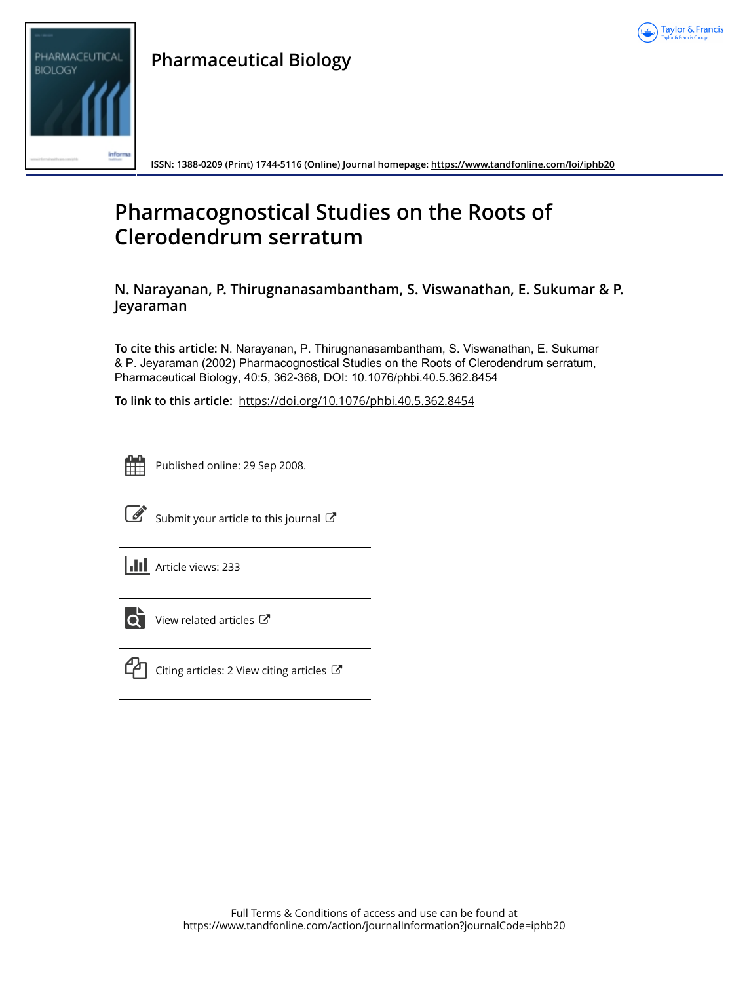



**Pharmaceutical Biology**

**ISSN: 1388-0209 (Print) 1744-5116 (Online) Journal homepage:<https://www.tandfonline.com/loi/iphb20>**

# **Pharmacognostical Studies on the Roots of Clerodendrum serratum**

**N. Narayanan, P. Thirugnanasambantham, S. Viswanathan, E. Sukumar & P. Jeyaraman**

**To cite this article:** N. Narayanan, P. Thirugnanasambantham, S. Viswanathan, E. Sukumar & P. Jeyaraman (2002) Pharmacognostical Studies on the Roots of Clerodendrum serratum, Pharmaceutical Biology, 40:5, 362-368, DOI: [10.1076/phbi.40.5.362.8454](https://www.tandfonline.com/action/showCitFormats?doi=10.1076/phbi.40.5.362.8454)

**To link to this article:** <https://doi.org/10.1076/phbi.40.5.362.8454>



Published online: 29 Sep 2008.



 $\overrightarrow{S}$  [Submit your article to this journal](https://www.tandfonline.com/action/authorSubmission?journalCode=iphb20&show=instructions)  $\overrightarrow{S}$ 

**Article views: 233** 



 $\overrightarrow{Q}$  [View related articles](https://www.tandfonline.com/doi/mlt/10.1076/phbi.40.5.362.8454)  $\overrightarrow{C}$ 



 $\mathbb{C}$  [Citing articles: 2 View citing articles](https://www.tandfonline.com/doi/citedby/10.1076/phbi.40.5.362.8454#tabModule)  $\mathbb{C}$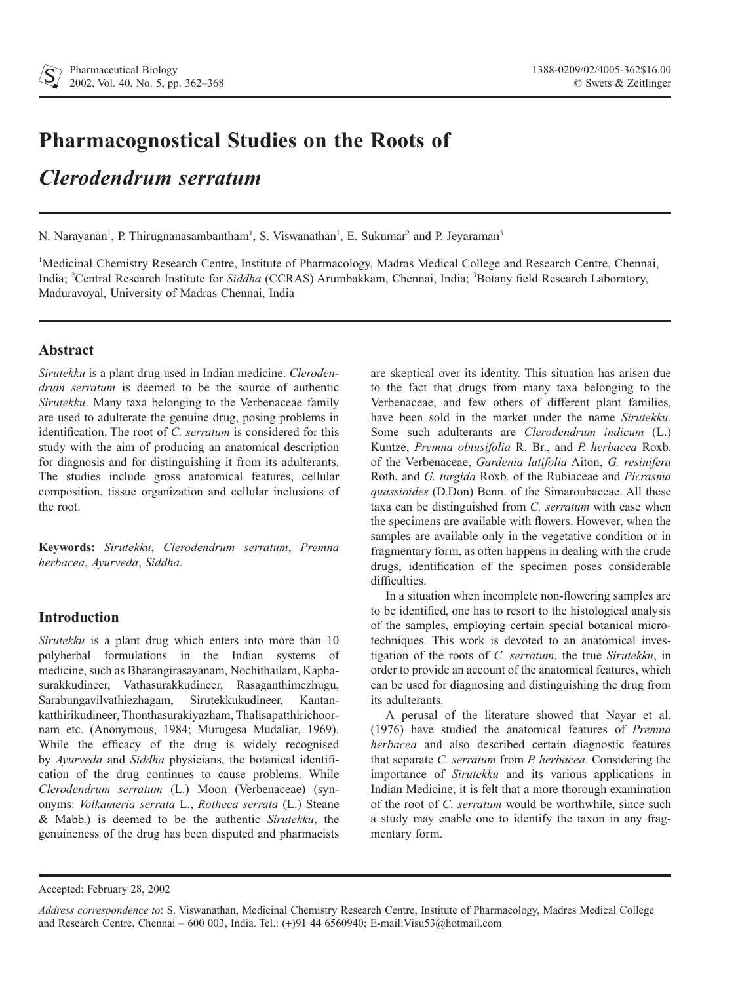# **Pharmacognostical Studies on the Roots of**

# *Clerodendrum serratum*

N. Narayanan<sup>1</sup>, P. Thirugnanasambantham<sup>1</sup>, S. Viswanathan<sup>1</sup>, E. Sukumar<sup>2</sup> and P. Jeyaraman<sup>3</sup>

<sup>1</sup>Medicinal Chemistry Research Centre, Institute of Pharmacology, Madras Medical College and Research Centre, Chennai, India; <sup>2</sup>Central Research Institute for Siddha (CCRAS) Arumbakkam, Chennai, India; <sup>3</sup>Botany field Research Laboratory, Maduravoyal, University of Madras Chennai, India

### **Abstract**

*Sirutekku* is a plant drug used in Indian medicine. *Clerodendrum serratum* is deemed to be the source of authentic *Sirutekku*. Many taxa belonging to the Verbenaceae family are used to adulterate the genuine drug, posing problems in identification. The root of *C. serratum* is considered for this study with the aim of producing an anatomical description for diagnosis and for distinguishing it from its adulterants. The studies include gross anatomical features, cellular composition, tissue organization and cellular inclusions of the root.

**Keywords:** *Sirutekku*, *Clerodendrum serratum*, *Premna herbacea*, *Ayurveda*, *Siddha*.

## **Introduction**

*Sirutekku* is a plant drug which enters into more than 10 polyherbal formulations in the Indian systems of medicine, such as Bharangirasayanam, Nochithailam, Kaphasurakkudineer, Vathasurakkudineer, Rasaganthimezhugu, Sarabungavilvathiezhagam, Sirutekkukudineer, Kantankatthirikudineer, Thonthasurakiyazham, Thalisapatthirichoornam etc. (Anonymous, 1984; Murugesa Mudaliar, 1969). While the efficacy of the drug is widely recognised by *Ayurveda* and *Siddha* physicians, the botanical identification of the drug continues to cause problems. While *Clerodendrum serratum* (L.) Moon (Verbenaceae) (synonyms: *Volkameria serrata* L., *Rotheca serrata* (L.) Steane & Mabb.) is deemed to be the authentic *Sirutekku*, the genuineness of the drug has been disputed and pharmacists are skeptical over its identity. This situation has arisen due to the fact that drugs from many taxa belonging to the Verbenaceae, and few others of different plant families, have been sold in the market under the name *Sirutekku*. Some such adulterants are *Clerodendrum indicum* (L.) Kuntze, *Premna obtusifolia* R. Br., and *P. herbacea* Roxb. of the Verbenaceae, *Gardenia latifolia* Aiton, *G. resinifera* Roth, and *G. turgida* Roxb. of the Rubiaceae and *Picrasma quassioides* (D.Don) Benn. of the Simaroubaceae. All these taxa can be distinguished from *C. serratum* with ease when the specimens are available with flowers. However, when the samples are available only in the vegetative condition or in fragmentary form, as often happens in dealing with the crude drugs, identification of the specimen poses considerable difficulties.

In a situation when incomplete non-flowering samples are to be identified, one has to resort to the histological analysis of the samples, employing certain special botanical microtechniques. This work is devoted to an anatomical investigation of the roots of *C. serratum*, the true *Sirutekku*, in order to provide an account of the anatomical features, which can be used for diagnosing and distinguishing the drug from its adulterants.

A perusal of the literature showed that Nayar et al. (1976) have studied the anatomical features of *Premna herbacea* and also described certain diagnostic features that separate *C. serratum* from *P. herbacea*. Considering the importance of *Sirutekku* and its various applications in Indian Medicine, it is felt that a more thorough examination of the root of *C. serratum* would be worthwhile, since such a study may enable one to identify the taxon in any fragmentary form.

Accepted: February 28, 2002

*Address correspondence to*: S. Viswanathan, Medicinal Chemistry Research Centre, Institute of Pharmacology, Madres Medical College and Research Centre, Chennai – 600 003, India. Tel.: (+)91 44 6560940; E-mail:Visu53@hotmail.com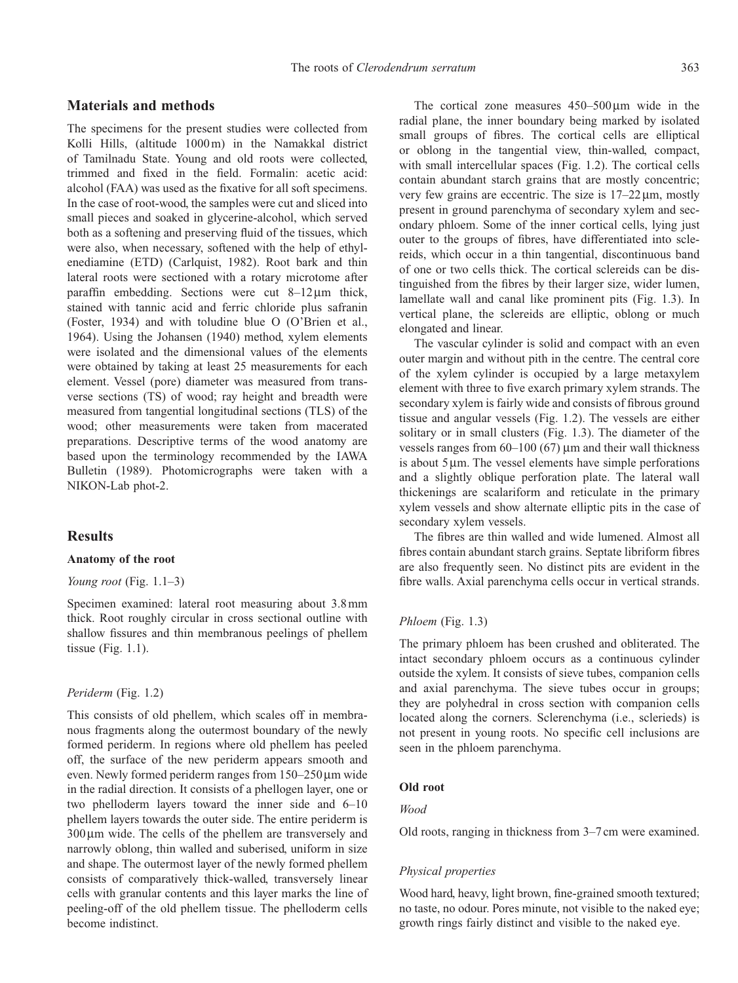#### **Materials and methods**

The specimens for the present studies were collected from Kolli Hills, (altitude 1000 m) in the Namakkal district of Tamilnadu State. Young and old roots were collected, trimmed and fixed in the field. Formalin: acetic acid: alcohol (FAA) was used as the fixative for all soft specimens. In the case of root-wood, the samples were cut and sliced into small pieces and soaked in glycerine-alcohol, which served both as a softening and preserving fluid of the tissues, which were also, when necessary, softened with the help of ethylenediamine (ETD) (Carlquist, 1982). Root bark and thin lateral roots were sectioned with a rotary microtome after paraffin embedding. Sections were cut  $8-12 \mu m$  thick, stained with tannic acid and ferric chloride plus safranin (Foster, 1934) and with toludine blue O (O'Brien et al., 1964). Using the Johansen (1940) method, xylem elements were isolated and the dimensional values of the elements were obtained by taking at least 25 measurements for each element. Vessel (pore) diameter was measured from transverse sections (TS) of wood; ray height and breadth were measured from tangential longitudinal sections (TLS) of the wood; other measurements were taken from macerated preparations. Descriptive terms of the wood anatomy are based upon the terminology recommended by the IAWA Bulletin (1989). Photomicrographs were taken with a NIKON-Lab phot-2.

#### **Results**

#### **Anatomy of the root**

#### *Young root* (Fig. 1.1–3)

Specimen examined: lateral root measuring about 3.8 mm thick. Root roughly circular in cross sectional outline with shallow fissures and thin membranous peelings of phellem tissue (Fig. 1.1).

#### *Periderm* (Fig. 1.2)

This consists of old phellem, which scales off in membranous fragments along the outermost boundary of the newly formed periderm. In regions where old phellem has peeled off, the surface of the new periderm appears smooth and even. Newly formed periderm ranges from  $150-250 \,\mu m$  wide in the radial direction. It consists of a phellogen layer, one or two phelloderm layers toward the inner side and 6–10 phellem layers towards the outer side. The entire periderm is  $300 \mu m$  wide. The cells of the phellem are transversely and narrowly oblong, thin walled and suberised, uniform in size and shape. The outermost layer of the newly formed phellem consists of comparatively thick-walled, transversely linear cells with granular contents and this layer marks the line of peeling-off of the old phellem tissue. The phelloderm cells become indistinct.

The cortical zone measures  $450-500 \,\mu m$  wide in the radial plane, the inner boundary being marked by isolated small groups of fibres. The cortical cells are elliptical or oblong in the tangential view, thin-walled, compact, with small intercellular spaces (Fig. 1.2). The cortical cells contain abundant starch grains that are mostly concentric; very few grains are eccentric. The size is  $17-22 \mu m$ , mostly present in ground parenchyma of secondary xylem and secondary phloem. Some of the inner cortical cells, lying just outer to the groups of fibres, have differentiated into sclereids, which occur in a thin tangential, discontinuous band of one or two cells thick. The cortical sclereids can be distinguished from the fibres by their larger size, wider lumen, lamellate wall and canal like prominent pits (Fig. 1.3). In vertical plane, the sclereids are elliptic, oblong or much elongated and linear.

The vascular cylinder is solid and compact with an even outer margin and without pith in the centre. The central core of the xylem cylinder is occupied by a large metaxylem element with three to five exarch primary xylem strands. The secondary xylem is fairly wide and consists of fibrous ground tissue and angular vessels (Fig. 1.2). The vessels are either solitary or in small clusters (Fig. 1.3). The diameter of the vessels ranges from  $60-100(67)$  µm and their wall thickness is about  $5 \mu m$ . The vessel elements have simple perforations and a slightly oblique perforation plate. The lateral wall thickenings are scalariform and reticulate in the primary xylem vessels and show alternate elliptic pits in the case of secondary xylem vessels.

The fibres are thin walled and wide lumened. Almost all fibres contain abundant starch grains. Septate libriform fibres are also frequently seen. No distinct pits are evident in the fibre walls. Axial parenchyma cells occur in vertical strands.

#### *Phloem* (Fig. 1.3)

The primary phloem has been crushed and obliterated. The intact secondary phloem occurs as a continuous cylinder outside the xylem. It consists of sieve tubes, companion cells and axial parenchyma. The sieve tubes occur in groups; they are polyhedral in cross section with companion cells located along the corners. Sclerenchyma (i.e., sclerieds) is not present in young roots. No specific cell inclusions are seen in the phloem parenchyma.

#### **Old root**

#### *Wood*

Old roots, ranging in thickness from 3–7 cm were examined.

#### *Physical properties*

Wood hard, heavy, light brown, fine-grained smooth textured; no taste, no odour. Pores minute, not visible to the naked eye; growth rings fairly distinct and visible to the naked eye.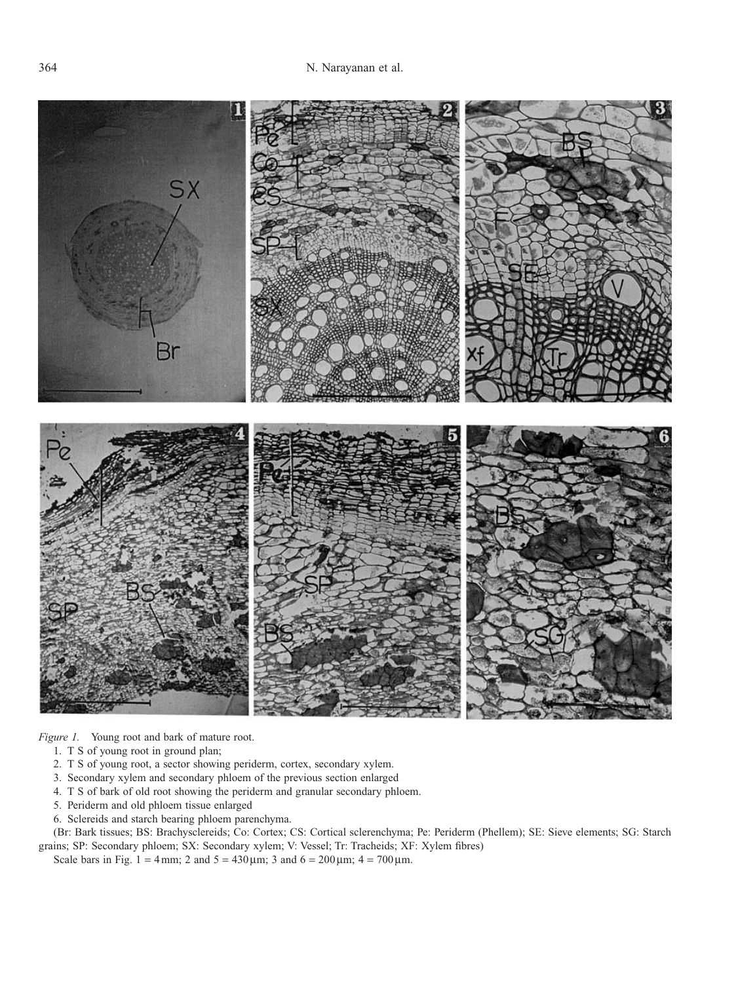

*Figure 1.* Young root and bark of mature root.

- 1. T S of young root in ground plan;
- 2. T S of young root, a sector showing periderm, cortex, secondary xylem.
- 3. Secondary xylem and secondary phloem of the previous section enlarged
- 4. T S of bark of old root showing the periderm and granular secondary phloem.
- 5. Periderm and old phloem tissue enlarged
- 6. Sclereids and starch bearing phloem parenchyma.

(Br: Bark tissues; BS: Brachysclereids; Co: Cortex; CS: Cortical sclerenchyma; Pe: Periderm (Phellem); SE: Sieve elements; SG: Starch grains; SP: Secondary phloem; SX: Secondary xylem; V: Vessel; Tr: Tracheids; XF: Xylem fibres)

Scale bars in Fig. 1 = 4 mm; 2 and  $5 = 430 \,\text{\mu m}$ ; 3 and  $6 = 200 \,\text{\mu m}$ ; 4 = 700  $\text{\mu m}$ .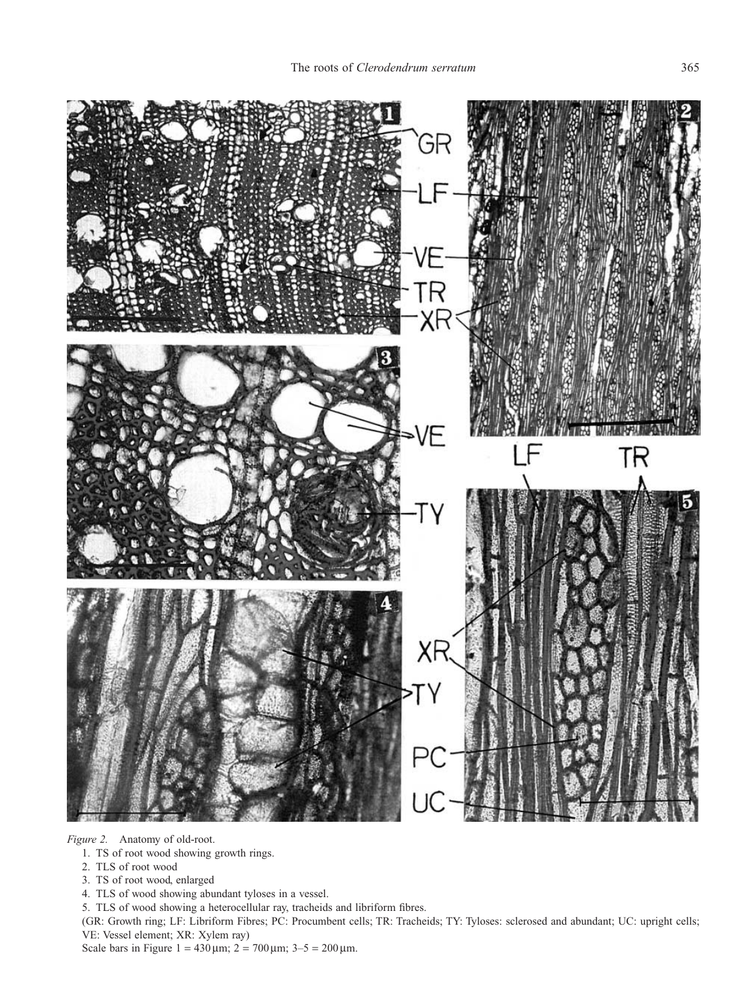

*Figure 2.* Anatomy of old-root.

- 1. TS of root wood showing growth rings.
- 2. TLS of root wood
- 3. TS of root wood, enlarged
- 4. TLS of wood showing abundant tyloses in a vessel.
- 5. TLS of wood showing a heterocellular ray, tracheids and libriform fibres.

(GR: Growth ring; LF: Libriform Fibres; PC: Procumbent cells; TR: Tracheids; TY: Tyloses: sclerosed and abundant; UC: upright cells; VE: Vessel element; XR: Xylem ray)

Scale bars in Figure 1 =  $430 \,\mu m$ ; 2 =  $700 \,\mu m$ ; 3-5 =  $200 \,\mu m$ .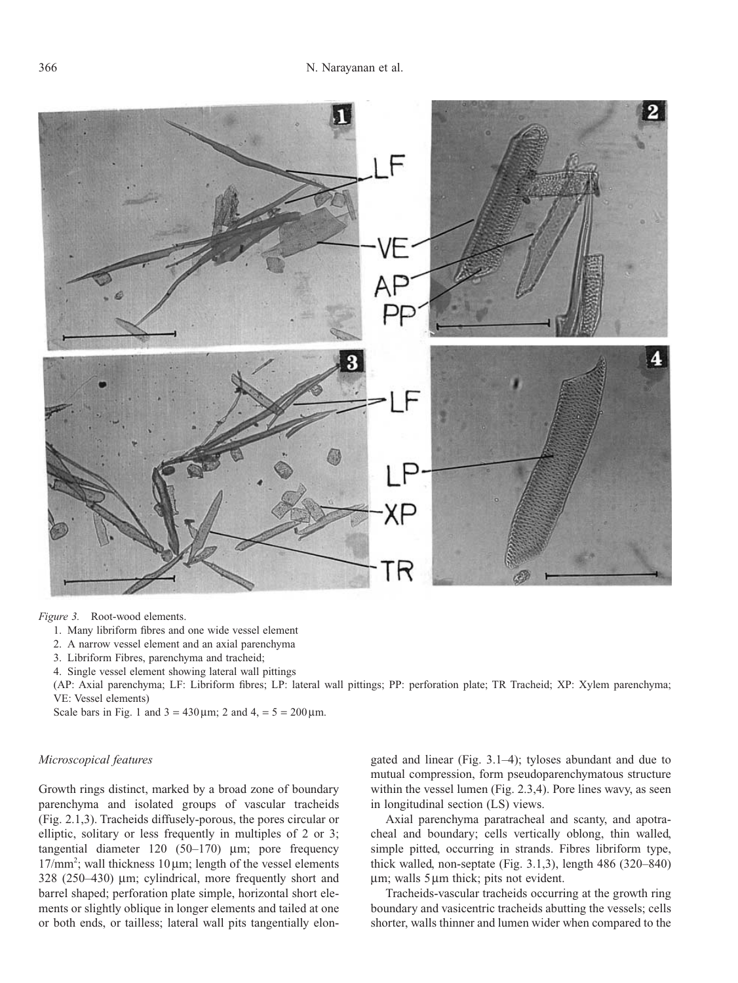

*Figure 3.* Root-wood elements.

- 1. Many libriform fibres and one wide vessel element
- 2. A narrow vessel element and an axial parenchyma
- 3. Libriform Fibres, parenchyma and tracheid;

4. Single vessel element showing lateral wall pittings

(AP: Axial parenchyma; LF: Libriform fibres; LP: lateral wall pittings; PP: perforation plate; TR Tracheid; XP: Xylem parenchyma; VE: Vessel elements)

Scale bars in Fig. 1 and  $3 = 430 \,\text{\mu m}$ ; 2 and  $4 = 5 = 200 \,\text{\mu m}$ .

#### *Microscopical features*

Growth rings distinct, marked by a broad zone of boundary parenchyma and isolated groups of vascular tracheids (Fig. 2.1,3). Tracheids diffusely-porous, the pores circular or elliptic, solitary or less frequently in multiples of 2 or 3; tangential diameter  $120$  (50-170)  $\mu$ m; pore frequency  $17/mm^2$ ; wall thickness  $10 \mu m$ ; length of the vessel elements  $328$  ( $250-430$ ) µm; cylindrical, more frequently short and barrel shaped; perforation plate simple, horizontal short elements or slightly oblique in longer elements and tailed at one or both ends, or tailless; lateral wall pits tangentially elongated and linear (Fig. 3.1–4); tyloses abundant and due to mutual compression, form pseudoparenchymatous structure within the vessel lumen (Fig. 2.3,4). Pore lines wavy, as seen in longitudinal section (LS) views.

Axial parenchyma paratracheal and scanty, and apotracheal and boundary; cells vertically oblong, thin walled, simple pitted, occurring in strands. Fibres libriform type, thick walled, non-septate (Fig. 3.1,3), length 486 (320–840)  $\mu$ m; walls 5 $\mu$ m thick; pits not evident.

Tracheids-vascular tracheids occurring at the growth ring boundary and vasicentric tracheids abutting the vessels; cells shorter, walls thinner and lumen wider when compared to the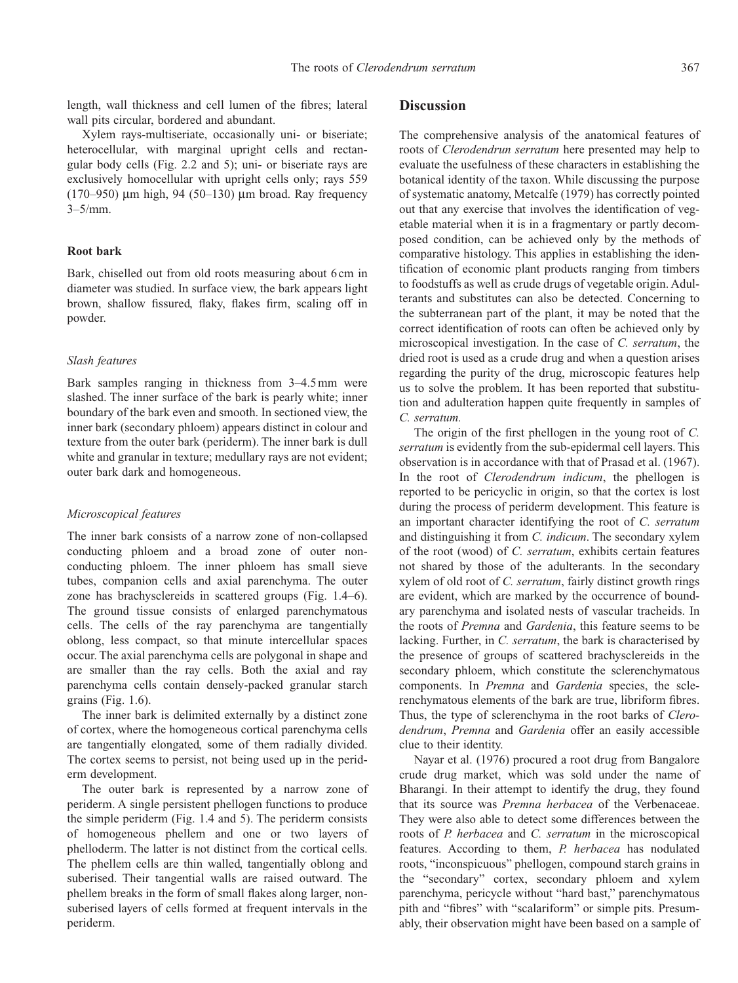length, wall thickness and cell lumen of the fibres; lateral wall pits circular, bordered and abundant.

Xylem rays-multiseriate, occasionally uni- or biseriate; heterocellular, with marginal upright cells and rectangular body cells (Fig. 2.2 and 5); uni- or biseriate rays are exclusively homocellular with upright cells only; rays 559 (170–950)  $\mu$ m high, 94 (50–130)  $\mu$ m broad. Ray frequency  $3 - 5/mm$ .

#### **Root bark**

Bark, chiselled out from old roots measuring about 6 cm in diameter was studied. In surface view, the bark appears light brown, shallow fissured, flaky, flakes firm, scaling off in powder.

#### *Slash features*

Bark samples ranging in thickness from 3–4.5 mm were slashed. The inner surface of the bark is pearly white; inner boundary of the bark even and smooth. In sectioned view, the inner bark (secondary phloem) appears distinct in colour and texture from the outer bark (periderm). The inner bark is dull white and granular in texture; medullary rays are not evident; outer bark dark and homogeneous.

#### *Microscopical features*

The inner bark consists of a narrow zone of non-collapsed conducting phloem and a broad zone of outer nonconducting phloem. The inner phloem has small sieve tubes, companion cells and axial parenchyma. The outer zone has brachysclereids in scattered groups (Fig. 1.4–6). The ground tissue consists of enlarged parenchymatous cells. The cells of the ray parenchyma are tangentially oblong, less compact, so that minute intercellular spaces occur. The axial parenchyma cells are polygonal in shape and are smaller than the ray cells. Both the axial and ray parenchyma cells contain densely-packed granular starch grains (Fig. 1.6).

The inner bark is delimited externally by a distinct zone of cortex, where the homogeneous cortical parenchyma cells are tangentially elongated, some of them radially divided. The cortex seems to persist, not being used up in the periderm development.

The outer bark is represented by a narrow zone of periderm. A single persistent phellogen functions to produce the simple periderm (Fig. 1.4 and 5). The periderm consists of homogeneous phellem and one or two layers of phelloderm. The latter is not distinct from the cortical cells. The phellem cells are thin walled, tangentially oblong and suberised. Their tangential walls are raised outward. The phellem breaks in the form of small flakes along larger, nonsuberised layers of cells formed at frequent intervals in the periderm.

#### **Discussion**

The comprehensive analysis of the anatomical features of roots of *Clerodendrun serratum* here presented may help to evaluate the usefulness of these characters in establishing the botanical identity of the taxon. While discussing the purpose of systematic anatomy, Metcalfe (1979) has correctly pointed out that any exercise that involves the identification of vegetable material when it is in a fragmentary or partly decomposed condition, can be achieved only by the methods of comparative histology. This applies in establishing the identification of economic plant products ranging from timbers to foodstuffs as well as crude drugs of vegetable origin. Adulterants and substitutes can also be detected. Concerning to the subterranean part of the plant, it may be noted that the correct identification of roots can often be achieved only by microscopical investigation. In the case of *C. serratum*, the dried root is used as a crude drug and when a question arises regarding the purity of the drug, microscopic features help us to solve the problem. It has been reported that substitution and adulteration happen quite frequently in samples of *C. serratum.*

The origin of the first phellogen in the young root of *C. serratum* is evidently from the sub-epidermal cell layers. This observation is in accordance with that of Prasad et al. (1967). In the root of *Clerodendrum indicum*, the phellogen is reported to be pericyclic in origin, so that the cortex is lost during the process of periderm development. This feature is an important character identifying the root of *C. serratum* and distinguishing it from *C. indicum*. The secondary xylem of the root (wood) of *C. serratum*, exhibits certain features not shared by those of the adulterants. In the secondary xylem of old root of *C. serratum*, fairly distinct growth rings are evident, which are marked by the occurrence of boundary parenchyma and isolated nests of vascular tracheids. In the roots of *Premna* and *Gardenia*, this feature seems to be lacking. Further, in *C. serratum*, the bark is characterised by the presence of groups of scattered brachysclereids in the secondary phloem, which constitute the sclerenchymatous components. In *Premna* and *Gardenia* species, the sclerenchymatous elements of the bark are true, libriform fibres. Thus, the type of sclerenchyma in the root barks of *Clerodendrum*, *Premna* and *Gardenia* offer an easily accessible clue to their identity.

Nayar et al. (1976) procured a root drug from Bangalore crude drug market, which was sold under the name of Bharangi. In their attempt to identify the drug, they found that its source was *Premna herbacea* of the Verbenaceae. They were also able to detect some differences between the roots of *P. herbacea* and *C. serratum* in the microscopical features. According to them, *P. herbacea* has nodulated roots, "inconspicuous" phellogen, compound starch grains in the "secondary" cortex, secondary phloem and xylem parenchyma, pericycle without "hard bast," parenchymatous pith and "fibres" with "scalariform" or simple pits. Presumably, their observation might have been based on a sample of